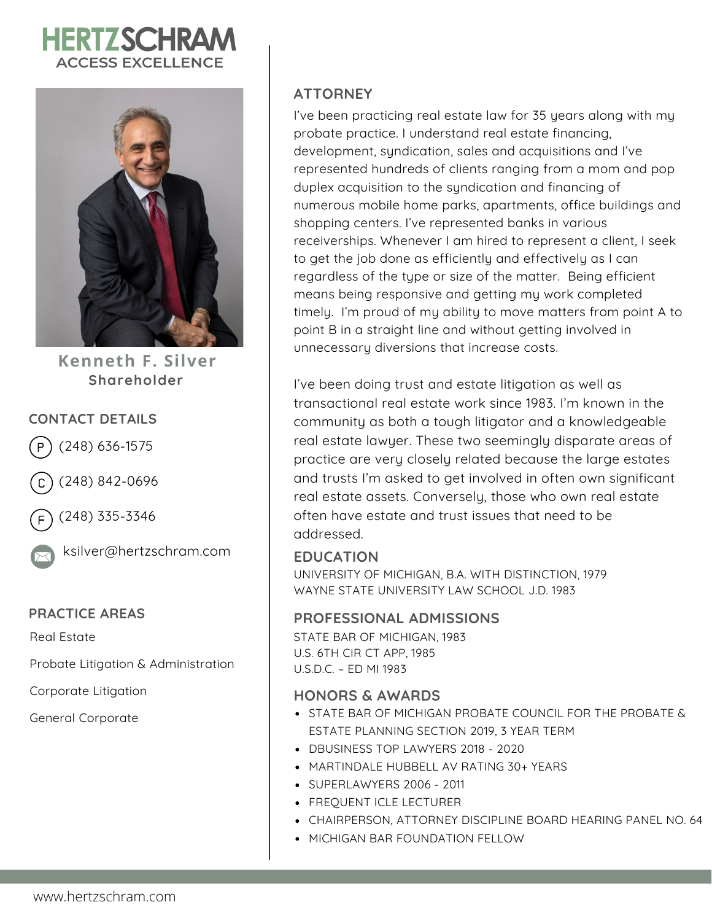# **HERTZSCHRAN ACCESS EXCELLENCE**



**Kenneth F. Silver Shareholder**

#### **CONTACT DETAILS**

(248) 636-1575

(248) 842-0696



(248) 335-3346



ksilver@hertzschram.com

#### **PRACTICE AREAS**

Real Estate

Probate Litigation & Administration

Corporate Litigation

General Corporate

#### **ATTORNEY**

I've been practicing real estate law for 35 years along with my probate practice. I understand real estate financing, development, syndication, sales and acquisitions and I've represented hundreds of clients ranging from a mom and pop duplex acquisition to the syndication and financing of numerous mobile home parks, apartments, office buildings and shopping centers. I've represented banks in various receiverships. Whenever I am hired to represent a client, I seek to get the job done as efficiently and effectively as I can regardless of the type or size of the matter. Being efficient means being responsive and getting my work completed timely. I'm proud of my ability to move matters from point A to point B in a straight line and without getting involved in unnecessary diversions that increase costs.

I've been doing trust and estate litigation as well as transactional real estate work since 1983. I'm known in the community as both a tough litigator and a knowledgeable real estate lawyer. These two seemingly disparate areas of practice are very closely related because the large estates and trusts I'm asked to get involved in often own significant real estate assets. Conversely, those who own real estate often have estate and trust issues that need to be addressed.

#### **EDUCATION**

UNIVERSITY OF MICHIGAN, B.A. WITH DISTINCTION, 1979 WAYNE STATE UNIVERSITY LAW SCHOOL J.D. 1983

#### **PROFESSIONAL ADMISSIONS**

STATE BAR OF MICHIGAN, 1983 U.S. 6TH CIR CT APP, 1985 U.S.D.C. – ED MI 1983

#### **HONORS & AWARDS**

- STATE BAR OF MICHIGAN PROBATE COUNCIL FOR THE PROBATE & ESTATE PLANNING SECTION 2019, 3 YEAR TERM
- DBUSINESS TOP LAWYERS 2018 2020
- MARTINDALE HUBBELL AV RATING 30+ YEARS
- SUPERLAWYERS 2006 2011
- FREQUENT ICLE LECTURER
- CHAIRPERSON, ATTORNEY DISCIPLINE BOARD HEARING PANEL NO. 64
- MICHIGAN BAR FOUNDATION FELLOW